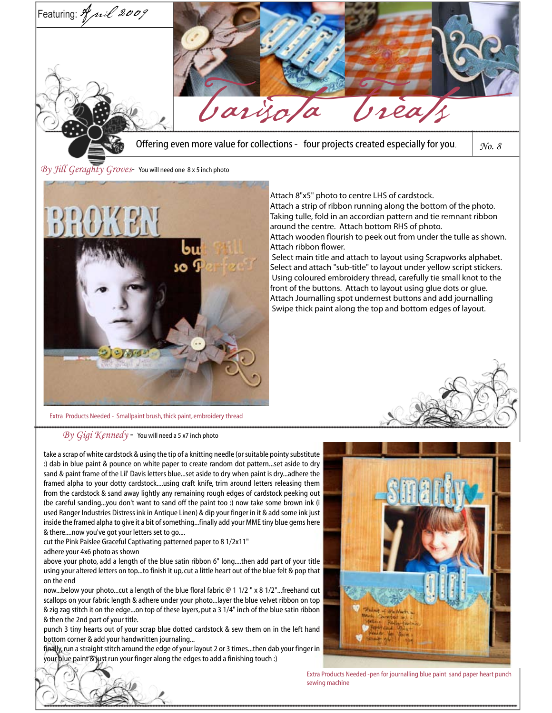

 Select main title and attach to layout using Scrapworks alphabet. Select and attach "sub-title" to layout under yellow script stickers. Using coloured embroidery thread, carefully tie small knot to the front of the buttons. Attach to layout using glue dots or glue. Attach Journalling spot undernest buttons and add journalling Swipe thick paint along the top and bottom edges of layout.

Extra Products Needed - Smallpaint brush, thick paint, embroidery thread

*By Gigi Kennedy* - You will need a 5 x7 inch photo

take a scrap of white cardstock & using the tip of a knitting needle (or suitable pointy substitute :) dab in blue paint & pounce on white paper to create random dot pattern...set aside to dry sand & paint frame of the Lil' Davis letters blue...set aside to dry when paint is dry...adhere the framed alpha to your dotty cardstock....using craft knife, trim around letters releasing them from the cardstock & sand away lightly any remaining rough edges of cardstock peeking out (be careful sanding...you don't want to sand off the paint too :) now take some brown ink (i used Ranger Industries Distress ink in Antique Linen) & dip your finger in it & add some ink just inside the framed alpha to give it a bit of something...finally add your MME tiny blue gems here & there....now you've got your letters set to go....

cut the Pink Paislee Graceful Captivating patterned paper to 8 1/2x11"

adhere your 4x6 photo as shown

above your photo, add a length of the blue satin ribbon 6" long....then add part of your title using your altered letters on top...to finish it up, cut a little heart out of the blue felt & pop that on the end

now...below your photo...cut a length of the blue floral fabric @ 1 1/2 " x 8 1/2"...freehand cut scallops on your fabric length & adhere under your photo...layer the blue velvet ribbon on top & zig zag stitch it on the edge...on top of these layers, put a 3 1/4" inch of the blue satin ribbon & then the 2nd part of your title.

punch 3 tiny hearts out of your scrap blue dotted cardstock & sew them on in the left hand bottom corner & add your handwritten journaling...

finally, run a straight stitch around the edge of your layout 2 or 3 times...then dab your finger in your blue paint & just run your finger along the edges to add a finishing touch :)



Extra Products Needed -pen for journalling blue paint sand paper heart punch sewing machine